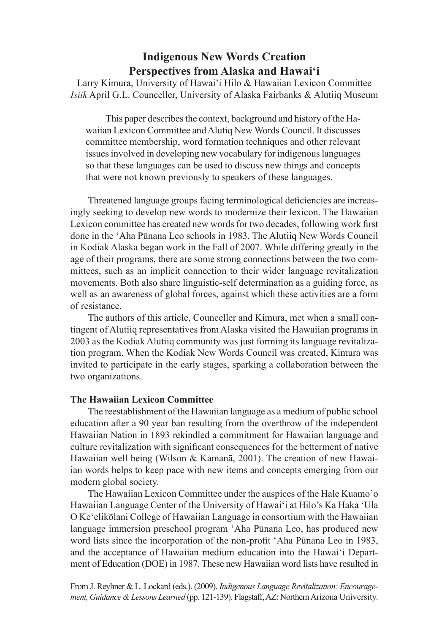# **Indigenous New Words Creation Perspectives from Alaska and Hawai'i**

Larry Kimura, University of Hawai'i Hilo & Hawaiian Lexicon Committee *Isiik* April G.L. Counceller, University of Alaska Fairbanks & Alutiiq Museum

 This paper describes the context, background and history of the Hawaiian Lexicon Committee and Alutiq New Words Council. It discusses committee membership, word formation techniques and other relevant issues involved in developing new vocabulary for indigenous languages so that these languages can be used to discuss new things and concepts that were not known previously to speakers of these languages.

 Threatened language groups facing terminological defciencies are increasingly seeking to develop new words to modernize their lexicon. The Hawaiian Lexicon committee has created new words for two decades, following work first done in the 'Aha Pūnana Leo schools in 1983. The Alutiiq New Words Council in Kodiak Alaska began work in the Fall of 2007. While differing greatly in the age of their programs, there are some strong connections between the two committees, such as an implicit connection to their wider language revitalization movements. Both also share linguistic-self determination as a guiding force, as well as an awareness of global forces, against which these activities are a form of resistance.

The authors of this article, Counceller and Kimura, met when a small contingent of Alutiiq representatives from Alaska visited the Hawaiian programs in 2003 as the Kodiak Alutiiq community was just forming its language revitalization program. When the Kodiak New Words Council was created, Kimura was invited to participate in the early stages, sparking a collaboration between the two organizations.

## **The Hawaiian Lexicon Committee**

The reestablishment of the Hawaiian language as a medium of public school education after a 90 year ban resulting from the overthrow of the independent Hawaiian Nation in 1893 rekindled a commitment for Hawaiian language and culture revitalization with signifcant consequences for the betterment of native Hawaiian well being (Wilson & Kamanā, 2001). The creation of new Hawaiian words helps to keep pace with new items and concepts emerging from our modern global society.

The Hawaiian Lexicon Committee under the auspices of the Hale Kuamo'o Hawaiian Language Center of the University of Hawai'i at Hilo's Ka Haka 'Ula O Ke'elikōlani College of Hawaiian Language in consortium with the Hawaiian language immersion preschool program 'Aha Pūnana Leo, has produced new word lists since the incorporation of the non-proft 'Aha Pūnana Leo in 1983, and the acceptance of Hawaiian medium education into the Hawai'i Department of Education (DOE) in 1987. These new Hawaiian word lists have resulted in

From J. Reyhner & L. Lockard (eds.). (2009). *[Indigenous Language Revitalization: Encourage](http://jan.ucc.nau.edu/~jar/ILR/)[ment, Guidance & Lessons Learned](http://jan.ucc.nau.edu/~jar/ILR/)* (pp. 121-139). Flagstaff, AZ: Northern Arizona University.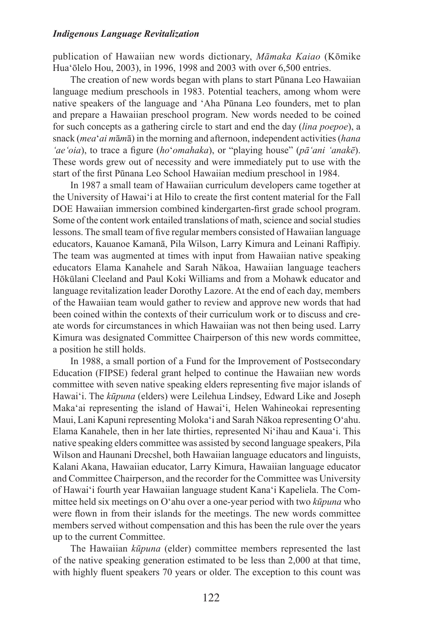publication of Hawaiian new words dictionary, *Māmaka Kaiao* (Kōmike Hua'ōlelo Hou, 2003), in 1996, 1998 and 2003 with over 6,500 entries.

 The creation of new words began with plans to start Pūnana Leo Hawaiian language medium preschools in 1983. Potential teachers, among whom were native speakers of the language and 'Aha Pūnana Leo founders, met to plan and prepare a Hawaiian preschool program. New words needed to be coined for such concepts as a gathering circle to start and end the day (*lina poepoe*), a snack (*mea*'*ai m*ā*m*ā) in the morning and afternoon, independent activities(*hana 'ae'oia*), to trace a fgure (*ho*'*omahaka*), or "playing house" (*pā'ani 'anakē*). These words grew out of necessity and were immediately put to use with the start of the frst Pūnana Leo School Hawaiian medium preschool in 1984.

 In 1987 a small team of Hawaiian curriculum developers came together at the University of Hawai'i at Hilo to create the frst content material for the Fall DOE Hawaiian immersion combined kindergarten-frst grade school program. Some of the content work entailed translations of math, science and social studies lessons. The small team of fve regular members consisted of Hawaiian language educators, Kauanoe Kamanā, Pila Wilson, Larry Kimura and Leinani Raffpiy. The team was augmented at times with input from Hawaiian native speaking educators Elama Kanahele and Sarah Nākoa, Hawaiian language teachers Hōkūlani Cleeland and Paul Koki Williams and from a Mohawk educator and language revitalization leader Dorothy Lazore. At the end of each day, members of the Hawaiian team would gather to review and approve new words that had been coined within the contexts of their curriculum work or to discuss and create words for circumstances in which Hawaiian was not then being used. Larry Kimura was designated Committee Chairperson of this new words committee, a position he still holds.

 In 1988, a small portion of a Fund for the Improvement of Postsecondary Education (FIPSE) federal grant helped to continue the Hawaiian new words committee with seven native speaking elders representing fve major islands of Hawai'i. The *kūpuna* (elders) were Leilehua Lindsey, Edward Like and Joseph Maka'ai representing the island of Hawai'i, Helen Wahineokai representing Maui, Lani Kapuni representing Moloka'i and Sarah Nākoa representing O'ahu. Elama Kanahele, then in her late thirties, represented Ni'ihau and Kaua'i. This native speaking elders committee was assisted by second language speakers, Pila Wilson and Haunani Drecshel, both Hawaiian language educators and linguists, Kalani Akana, Hawaiian educator, Larry Kimura, Hawaiian language educator and Committee Chairperson, and the recorder for the Committee was University of Hawai'i fourth year Hawaiian language student Kana'i Kapeliela. The Committee held six meetings on O'ahu over a one-year period with two *kūpuna* who were flown in from their islands for the meetings. The new words committee members served without compensation and this has been the rule over the years up to the current Committee.

The Hawaiian *kūpuna* (elder) committee members represented the last of the native speaking generation estimated to be less than 2,000 at that time, with highly fluent speakers 70 years or older. The exception to this count was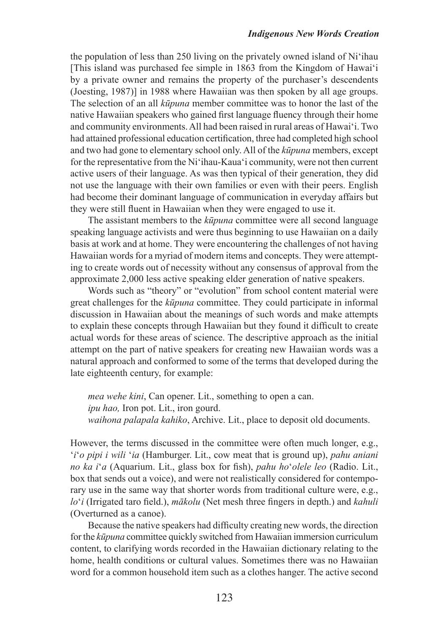the population of less than 250 living on the privately owned island of Ni'ihau [This island was purchased fee simple in 1863 from the Kingdom of Hawai'i by a private owner and remains the property of the purchaser's descendents (Joesting, 1987)] in 1988 where Hawaiian was then spoken by all age groups. The selection of an all *kūpuna* member committee was to honor the last of the native Hawaiian speakers who gained frst language fuency through their home and community environments. All had been raised in rural areas of Hawai'i. Two had attained professional education certifcation, three had completed high school and two had gone to elementary school only. All of the *kūpuna* members, except for the representative from the Ni'ihau-Kaua'i community, were not then current active users of their language. As was then typical of their generation, they did not use the language with their own families or even with their peers. English had become their dominant language of communication in everyday affairs but they were still fuent in Hawaiian when they were engaged to use it.

The assistant members to the *kūpuna* committee were all second language speaking language activists and were thus beginning to use Hawaiian on a daily basis at work and at home. They were encountering the challenges of not having Hawaiian words for a myriad of modern items and concepts. They were attempting to create words out of necessity without any consensus of approval from the approximate 2,000 less active speaking elder generation of native speakers.

 Words such as "theory" or "evolution" from school content material were great challenges for the *kūpuna* committee. They could participate in informal discussion in Hawaiian about the meanings of such words and make attempts to explain these concepts through Hawaiian but they found it diffcult to create actual words for these areas of science. The descriptive approach as the initial attempt on the part of native speakers for creating new Hawaiian words was a natural approach and conformed to some of the terms that developed during the late eighteenth century, for example:

*mea wehe kini*, Can opener. Lit., something to open a can. *ipu hao,* Iron pot. Lit., iron gourd. *waihona palapala kahiko*, Archive. Lit., place to deposit old documents.

However, the terms discussed in the committee were often much longer, e.g., '*i*'*o pipi i wili* '*ia* (Hamburger. Lit., cow meat that is ground up), *pahu aniani no ka i*'*a* (Aquarium. Lit., glass box for fsh), *pahu ho*'*olele leo* (Radio. Lit., box that sends out a voice), and were not realistically considered for contemporary use in the same way that shorter words from traditional culture were, e.g., *lo*'*i* (Irrigated taro feld.), *mākolu* (Net mesh three fngers in depth.) and *kahuli* (Overturned as a canoe).

 Because the native speakers had diffculty creating new words, the direction for the *kūpuna* committee quickly switched from Hawaiian immersion curriculum content, to clarifying words recorded in the Hawaiian dictionary relating to the home, health conditions or cultural values. Sometimes there was no Hawaiian word for a common household item such as a clothes hanger. The active second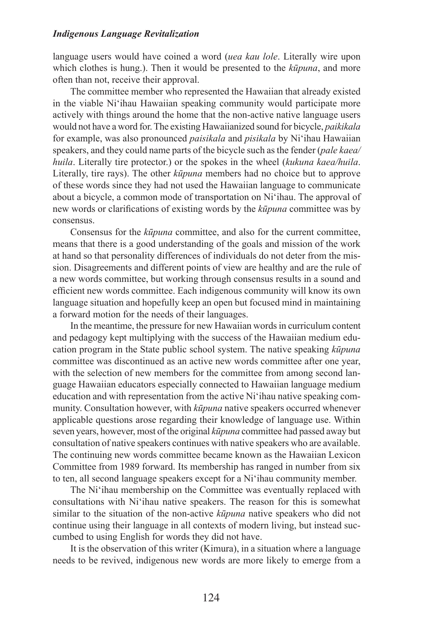language users would have coined a word (*uea kau lole*. Literally wire upon which clothes is hung.). Then it would be presented to the *kūpuna*, and more often than not, receive their approval.

The committee member who represented the Hawaiian that already existed in the viable Ni'ihau Hawaiian speaking community would participate more actively with things around the home that the non-active native language users would not have a word for. The existing Hawaiianized sound for bicycle, *paikikala* for example, was also pronounced *paisikala* and *pisikala* by Ni'ihau Hawaiian speakers, and they could name parts of the bicycle such as the fender (*pale kaea/ huila*. Literally tire protector.) or the spokes in the wheel (*kukuna kaea/huila*. Literally, tire rays). The other *kūpuna* members had no choice but to approve of these words since they had not used the Hawaiian language to communicate about a bicycle, a common mode of transportation on Ni'ihau. The approval of new words or clarifcations of existing words by the *kūpuna* committee was by consensus.

Consensus for the *kūpuna* committee, and also for the current committee, means that there is a good understanding of the goals and mission of the work at hand so that personality differences of individuals do not deter from the mission. Disagreements and different points of view are healthy and are the rule of a new words committee, but working through consensus results in a sound and effcient new words committee. Each indigenous community will know its own language situation and hopefully keep an open but focused mind in maintaining a forward motion for the needs of their languages.

In the meantime, the pressure for new Hawaiian words in curriculum content and pedagogy kept multiplying with the success of the Hawaiian medium education program in the State public school system. The native speaking *kūpuna* committee was discontinued as an active new words committee after one year, with the selection of new members for the committee from among second language Hawaiian educators especially connected to Hawaiian language medium education and with representation from the active Ni'ihau native speaking community. Consultation however, with *kūpuna* native speakers occurred whenever applicable questions arose regarding their knowledge of language use. Within seven years, however, most of the original *kūpuna* committee had passed away but consultation of native speakers continues with native speakers who are available. The continuing new words committee became known as the Hawaiian Lexicon Committee from 1989 forward. Its membership has ranged in number from six to ten, all second language speakers except for a Ni'ihau community member.

The Ni'ihau membership on the Committee was eventually replaced with consultations with Ni'ihau native speakers. The reason for this is somewhat similar to the situation of the non-active *kūpuna* native speakers who did not continue using their language in all contexts of modern living, but instead succumbed to using English for words they did not have.

 It is the observation of this writer (Kimura), in a situation where a language needs to be revived, indigenous new words are more likely to emerge from a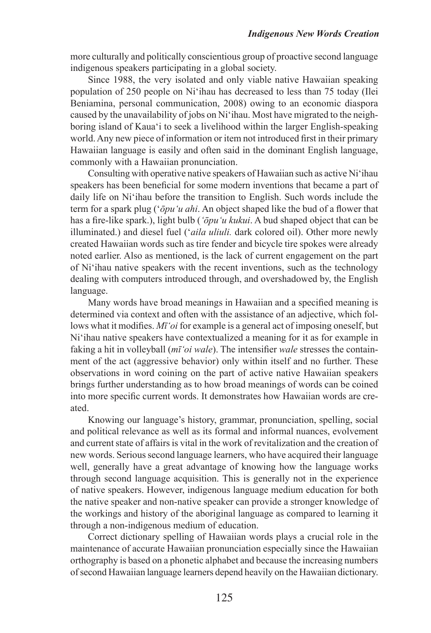more culturally and politically conscientious group of proactive second language indigenous speakers participating in a global society.

 Since 1988, the very isolated and only viable native Hawaiian speaking population of 250 people on Ni'ihau has decreased to less than 75 today (Ilei Beniamina, personal communication, 2008) owing to an economic diaspora caused by the unavailability of jobs on Ni'ihau. Most have migrated to the neighboring island of Kaua'i to seek a livelihood within the larger English-speaking world.Any new piece of information or item not introduced frst in their primary Hawaiian language is easily and often said in the dominant English language, commonly with a Hawaiian pronunciation.

Consulting with operative native speakers of Hawaiian such as active Ni'ihau speakers has been benefcial for some modern inventions that became a part of daily life on Ni'ihau before the transition to English. Such words include the term for a spark plug ('*ōpu'u ahi*. An object shaped like the bud of a fower that has a fre-like spark.), light bulb (*'ōpu'u kukui*. A bud shaped object that can be illuminated.) and diesel fuel ('*aila uliuli.* dark colored oil). Other more newly created Hawaiian words such as tire fender and bicycle tire spokes were already noted earlier. Also as mentioned, is the lack of current engagement on the part of Ni'ihau native speakers with the recent inventions, such as the technology dealing with computers introduced through, and overshadowed by, the English language.

 Many words have broad meanings in Hawaiian and a specifed meaning is determined via context and often with the assistance of an adjective, which follows what it modifes. *Mī'oi* for example is a general act of imposing oneself, but Ni'ihau native speakers have contextualized a meaning for it as for example in faking a hit in volleyball (*mī'oi wale*). The intensifer *wale* stresses the containment of the act (aggressive behavior) only within itself and no further. These observations in word coining on the part of active native Hawaiian speakers brings further understanding as to how broad meanings of words can be coined into more specifc current words. It demonstrates how Hawaiian words are created.

Knowing our language's history, grammar, pronunciation, spelling, social and political relevance as well as its formal and informal nuances, evolvement and current state of affairs is vital in the work of revitalization and the creation of new words. Serious second language learners, who have acquired their language well, generally have a great advantage of knowing how the language works through second language acquisition. This is generally not in the experience of native speakers. However, indigenous language medium education for both the native speaker and non-native speaker can provide a stronger knowledge of the workings and history of the aboriginal language as compared to learning it through a non-indigenous medium of education.

Correct dictionary spelling of Hawaiian words plays a crucial role in the maintenance of accurate Hawaiian pronunciation especially since the Hawaiian orthography is based on a phonetic alphabet and because the increasing numbers of second Hawaiian language learners depend heavily on the Hawaiian dictionary.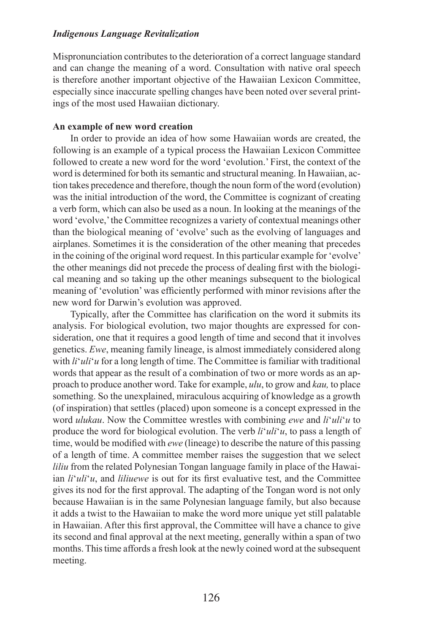Mispronunciation contributes to the deterioration of a correct language standard and can change the meaning of a word. Consultation with native oral speech is therefore another important objective of the Hawaiian Lexicon Committee, especially since inaccurate spelling changes have been noted over several printings of the most used Hawaiian dictionary.

## **An example of new word creation**

In order to provide an idea of how some Hawaiian words are created, the following is an example of a typical process the Hawaiian Lexicon Committee followed to create a new word for the word 'evolution.' First, the context of the word is determined for both its semantic and structural meaning. In Hawaiian, action takes precedence and therefore, though the noun form of the word (evolution) was the initial introduction of the word, the Committee is cognizant of creating a verb form, which can also be used as a noun. In looking at the meanings of the word 'evolve,' the Committee recognizes a variety of contextual meanings other than the biological meaning of 'evolve' such as the evolving of languages and airplanes. Sometimes it is the consideration of the other meaning that precedes in the coining of the original word request. In this particular example for 'evolve' the other meanings did not precede the process of dealing frst with the biological meaning and so taking up the other meanings subsequent to the biological meaning of 'evolution' was efficiently performed with minor revisions after the new word for Darwin's evolution was approved.

 Typically, after the Committee has clarifcation on the word it submits its analysis. For biological evolution, two major thoughts are expressed for consideration, one that it requires a good length of time and second that it involves genetics. *Ewe*, meaning family lineage, is almost immediately considered along with  $li'$ <sup>*uli*</sup> *u* for a long length of time. The Committee is familiar with traditional words that appear as the result of a combination of two or more words as an approach to produce another word. Take for example, *ulu*, to grow and *kau,* to place something. So the unexplained, miraculous acquiring of knowledge as a growth (of inspiration) that settles (placed) upon someone is a concept expressed in the word *ulukau*. Now the Committee wrestles with combining *ewe* and *li*'*uli*'*u* to produce the word for biological evolution. The verb *li*'*uli*'*u*, to pass a length of time, would be modifed with *ewe* (lineage) to describe the nature of this passing of a length of time. A committee member raises the suggestion that we select *liliu* from the related Polynesian Tongan language family in place of the Hawaiian *li*'*uli*'*u*, and *liliuewe* is out for its frst evaluative test, and the Committee gives its nod for the frst approval. The adapting of the Tongan word is not only because Hawaiian is in the same Polynesian language family, but also because it adds a twist to the Hawaiian to make the word more unique yet still palatable in Hawaiian. After this frst approval, the Committee will have a chance to give its second and fnal approval at the next meeting, generally within a span of two months. This time affords a fresh look at the newly coined word at the subsequent meeting.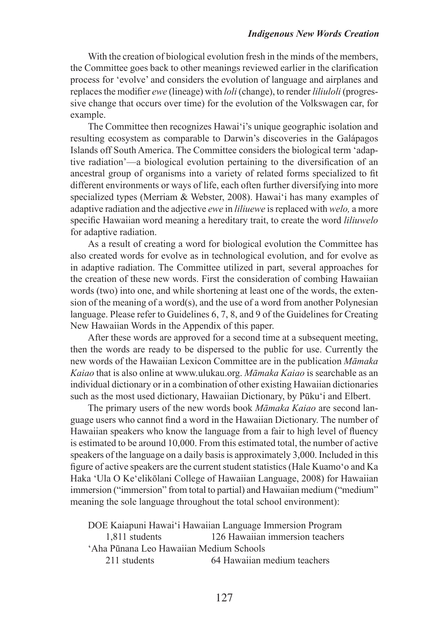With the creation of biological evolution fresh in the minds of the members, the Committee goes back to other meanings reviewed earlier in the clarifcation process for 'evolve' and considers the evolution of language and airplanes and replacesthe modifer *ewe* (lineage) with *loli* (change), to render *liliuloli* (progressive change that occurs over time) for the evolution of the Volkswagen car, for example.

The Committee then recognizes Hawai'i's unique geographic isolation and resulting ecosystem as comparable to Darwin's discoveries in the Galápagos Islands off South America. The Committee considers the biological term 'adaptive radiation'—a biological evolution pertaining to the diversifcation of an ancestral group of organisms into a variety of related forms specialized to ft different environments or ways of life, each often further diversifying into more specialized types (Merriam & Webster, 2008). Hawai'i has many examples of adaptive radiation and the adjective *ewe* in *liliuewe* is replaced with *welo,* a more specifc Hawaiian word meaning a hereditary trait, to create the word *liliuwelo* for adaptive radiation.

As a result of creating a word for biological evolution the Committee has also created words for evolve as in technological evolution, and for evolve as in adaptive radiation. The Committee utilized in part, several approaches for the creation of these new words. First the consideration of combing Hawaiian words (two) into one, and while shortening at least one of the words, the extension of the meaning of a word(s), and the use of a word from another Polynesian language. Please refer to Guidelines 6, 7, 8, and 9 of the Guidelines for Creating New Hawaiian Words in the Appendix of this paper.

After these words are approved for a second time at a subsequent meeting, then the words are ready to be dispersed to the public for use. Currently the new words of the Hawaiian Lexicon Committee are in the publication *Māmaka Kaiao* that is also online at [www.ulukau.org.](http://www.ulukau.org/) *Māmaka Kaiao* is searchable as an individual dictionary or in a combination of other existing Hawaiian dictionaries such as the most used dictionary, Hawaiian Dictionary, by Pūku'i and Elbert.

The primary users of the new words book *Māmaka Kaiao* are second language users who cannot fnd a word in the Hawaiian Dictionary. The number of Hawaiian speakers who know the language from a fair to high level of fuency is estimated to be around 10,000. From this estimated total, the number of active speakers of the language on a daily basis is approximately 3,000. Included in this figure of active speakers are the current student statistics (Hale Kuamo'o and Ka Haka 'Ula O Ke'elikōlani College of Hawaiian Language, 2008) for Hawaiian immersion ("immersion" from total to partial) and Hawaiian medium ("medium" meaning the sole language throughout the total school environment):

DOE Kaiapuni Hawai'i Hawaiian Language Immersion Program 1,811 students 126 Hawaiian immersion teachers 'Aha Pūnana Leo Hawaiian Medium Schools

211 students 64 Hawaiian medium teachers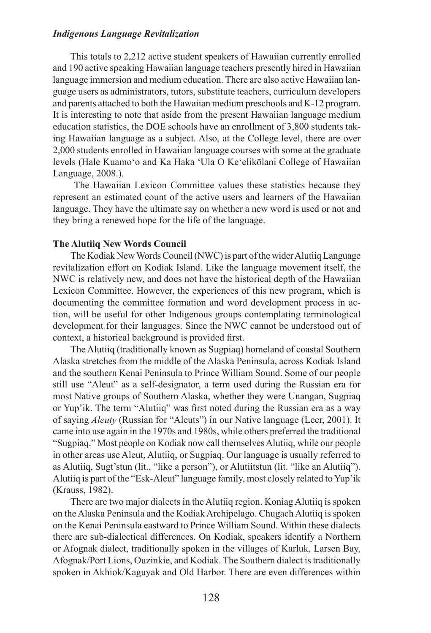This totals to 2,212 active student speakers of Hawaiian currently enrolled and 190 active speaking Hawaiian language teachers presently hired in Hawaiian language immersion and medium education. There are also active Hawaiian language users as administrators, tutors, substitute teachers, curriculum developers and parents attached to both the Hawaiian medium preschools and K-12 program. It is interesting to note that aside from the present Hawaiian language medium education statistics, the DOE schools have an enrollment of 3,800 students taking Hawaiian language as a subject. Also, at the College level, there are over 2,000 students enrolled in Hawaiian language courses with some at the graduate levels (Hale Kuamo'o and Ka Haka 'Ula O Ke'elikōlani College of Hawaiian Language, 2008.).

 The Hawaiian Lexicon Committee values these statistics because they represent an estimated count of the active users and learners of the Hawaiian language. They have the ultimate say on whether a new word is used or not and they bring a renewed hope for the life of the language.

## **The Alutiiq New Words Council**

The Kodiak New Words Council (NWC) is part of the wider Alutiiq Language revitalization effort on Kodiak Island. Like the language movement itself, the NWC is relatively new, and does not have the historical depth of the Hawaiian Lexicon Committee. However, the experiences of this new program, which is documenting the committee formation and word development process in action, will be useful for other Indigenous groups contemplating terminological development for their languages. Since the NWC cannot be understood out of context, a historical background is provided frst.

 The Alutiiq (traditionally known as Sugpiaq) homeland of coastal Southern Alaska stretches from the middle of the Alaska Peninsula, across Kodiak Island and the southern Kenai Peninsula to Prince William Sound. Some of our people still use "Aleut" as a self-designator, a term used during the Russian era for most Native groups of Southern Alaska, whether they were Unangan, Sugpiaq or Yup'ik. The term "Alutiiq" was frst noted during the Russian era as a way of saying *Aleuty* (Russian for "Aleuts") in our Native language (Leer, 2001). It came into use again in the 1970s and 1980s, while others preferred the traditional "Sugpiaq." Most people on Kodiak now call themselvesAlutiiq, while our people in other areas use Aleut, Alutiiq, or Sugpiaq. Our language is usually referred to as Alutiiq, Sugt'stun (lit., "like a person"), or Alutiitstun (lit. "like an Alutiiq"). Alutiiq is part of the "Esk-Aleut" language family, most closely related to Yup'ik (Krauss, 1982).

 There are two major dialects in the Alutiiq region. Koniag Alutiiq is spoken on the Alaska Peninsula and the Kodiak Archipelago. Chugach Alutiiq is spoken on the Kenai Peninsula eastward to Prince William Sound. Within these dialects there are sub-dialectical differences. On Kodiak, speakers identify a Northern or Afognak dialect, traditionally spoken in the villages of Karluk, Larsen Bay, Afognak/Port Lions, Ouzinkie, and Kodiak. The Southern dialect istraditionally spoken in Akhiok/Kaguyak and Old Harbor. There are even differences within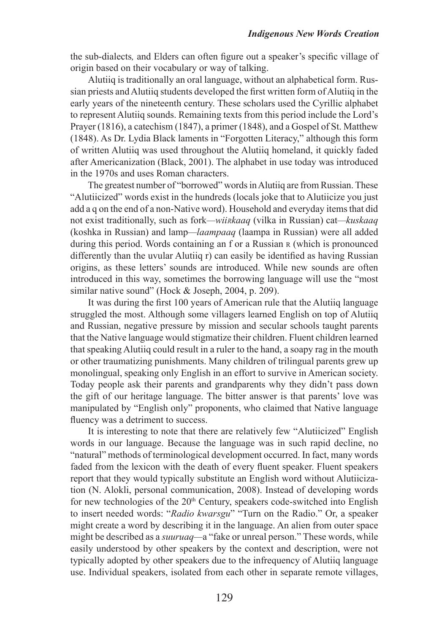the sub-dialects*,* and Elders can often fgure out a speaker's specifc village of origin based on their vocabulary or way of talking.

Alutiiq is traditionally an oral language, without an alphabetical form. Russian priests and Alutiiq students developed the first written form of Alutiiq in the early years of the nineteenth century. These scholars used the Cyrillic alphabet to represent Alutiiq sounds. Remaining texts from this period include the Lord's Prayer (1816), a catechism (1847), a primer (1848), and a Gospel of St. Matthew (1848). As Dr. Lydia Black laments in "Forgotten Literacy," although this form of written Alutiiq was used throughout the Alutiiq homeland, it quickly faded after Americanization (Black, 2001). The alphabet in use today was introduced in the 1970s and uses Roman characters.

The greatest number of "borrowed" words in Alutiiq are from Russian. These "Alutiicized" words exist in the hundreds (locals joke that to Alutiicize you just add a q on the end of a non-Native word). Household and everyday items that did not exist traditionally, such as fork*—wiiRkaaq* (vilka in Russian) cat*—kuskaaq* (koshka in Russian) and lamp*—laampaaq* (laampa in Russian) were all added during this period. Words containing an f or a Russian R (which is pronounced differently than the uvular Alutiiq r) can easily be identifed as having Russian origins, as these letters' sounds are introduced. While new sounds are often introduced in this way, sometimes the borrowing language will use the "most similar native sound" (Hock & Joseph, 2004, p. 209).

 It was during the frst 100 years of American rule that the Alutiiq language struggled the most. Although some villagers learned English on top of Alutiiq and Russian, negative pressure by mission and secular schools taught parents that the Native language would stigmatize their children. Fluent children learned that speaking Alutiiq could result in a ruler to the hand, a soapy rag in the mouth or other traumatizing punishments. Many children of trilingual parents grew up monolingual, speaking only English in an effort to survive in American society. Today people ask their parents and grandparents why they didn't pass down the gift of our heritage language. The bitter answer is that parents' love was manipulated by "English only" proponents, who claimed that Native language fuency was a detriment to success.

 It is interesting to note that there are relatively few "Alutiicized" English words in our language. Because the language was in such rapid decline, no "natural" methods of terminological development occurred. In fact, many words faded from the lexicon with the death of every fuent speaker. Fluent speakers report that they would typically substitute an English word without Alutiicization (N. Alokli, personal communication, 2008). Instead of developing words for new technologies of the  $20<sup>th</sup>$  Century, speakers code-switched into English to insert needed words: "*Radio kwarsgu*" "Turn on the Radio." Or, a speaker might create a word by describing it in the language. An alien from outer space might be described as a *suuruaq—*a "fake or unreal person." These words, while easily understood by other speakers by the context and description, were not typically adopted by other speakers due to the infrequency of Alutiiq language use. Individual speakers, isolated from each other in separate remote villages,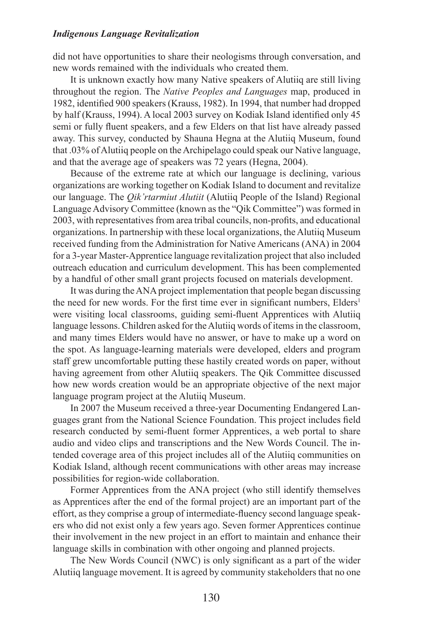did not have opportunities to share their neologisms through conversation, and new words remained with the individuals who created them.

It is unknown exactly how many Native speakers of Alutiiq are still living throughout the region. The *Native Peoples and Languages* map, produced in 1982, identifed 900 speakers (Krauss, 1982). In 1994, that number had dropped by half (Krauss, 1994). A local 2003 survey on Kodiak Island identifed only 45 semi or fully fuent speakers, and a few Elders on that list have already passed away. This survey, conducted by Shauna Hegna at the Alutiiq Museum, found that .03% ofAlutiiq people on theArchipelago could speak our Native language, and that the average age of speakers was 72 years (Hegna, 2004).

Because of the extreme rate at which our language is declining, various organizations are working together on Kodiak Island to document and revitalize our language. The *Qik'rtarmiut Alutiit* (Alutiiq People of the Island) Regional Language Advisory Committee (known as the "Qik Committee") was formed in 2003, with representatives from area tribal councils, non-profits, and educational organizations. In partnership with these local organizations, the Alutiiq Museum received funding from the Administration for Native Americans (ANA) in 2004 for a 3-year Master-Apprentice language revitalization project that also included outreach education and curriculum development. This has been complemented by a handful of other small grant projects focused on materials development.

 It was during theANAproject implementation that people began discussing the need for new words. For the first time ever in significant numbers, Elders<sup>1</sup> were visiting local classrooms, guiding semi-fuent Apprentices with Alutiiq language lessons. Children asked for the Alutiiq words of items in the classroom, and many times Elders would have no answer, or have to make up a word on the spot. As language-learning materials were developed, elders and program staff grew uncomfortable putting these hastily created words on paper, without having agreement from other Alutiiq speakers. The Qik Committee discussed how new words creation would be an appropriate objective of the next major language program project at the Alutiiq Museum.

In 2007 the Museum received a three-year Documenting Endangered Languages grant from the National Science Foundation. This project includes feld research conducted by semi-fuent former Apprentices, a web portal to share audio and video clips and transcriptions and the New Words Council. The intended coverage area of this project includes all of the Alutiiq communities on Kodiak Island, although recent communications with other areas may increase possibilities for region-wide collaboration.

 Former Apprentices from the ANA project (who still identify themselves as Apprentices after the end of the formal project) are an important part of the effort, as they comprise a group of intermediate-fuency second language speakers who did not exist only a few years ago. Seven former Apprentices continue their involvement in the new project in an effort to maintain and enhance their language skills in combination with other ongoing and planned projects.

 The New Words Council (NWC) is only signifcant as a part of the wider Alutiiq language movement. It is agreed by community stakeholders that no one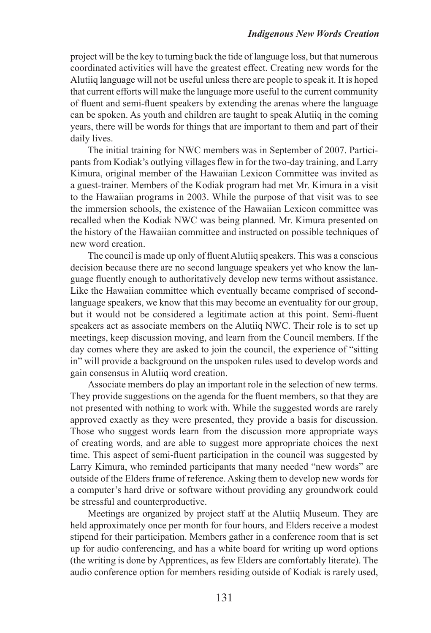project will be the key to turning back the tide of language loss, but that numerous coordinated activities will have the greatest effect. Creating new words for the Alutiiq language will not be useful unless there are people to speak it. It is hoped that current efforts will make the language more useful to the current community of fuent and semi-fuent speakers by extending the arenas where the language can be spoken. As youth and children are taught to speak Alutiiq in the coming years, there will be words for things that are important to them and part of their daily lives.

 The initial training for NWC members was in September of 2007. Participants from Kodiak's outlying villages flew in for the two-day training, and Larry Kimura, original member of the Hawaiian Lexicon Committee was invited as a guest-trainer. Members of the Kodiak program had met Mr. Kimura in a visit to the Hawaiian programs in 2003. While the purpose of that visit was to see the immersion schools, the existence of the Hawaiian Lexicon committee was recalled when the Kodiak NWC was being planned. Mr. Kimura presented on the history of the Hawaiian committee and instructed on possible techniques of new word creation.

The council is made up only of fluent Alutiiq speakers. This was a conscious decision because there are no second language speakers yet who know the language fuently enough to authoritatively develop new terms without assistance. Like the Hawaiian committee which eventually became comprised of secondlanguage speakers, we know that this may become an eventuality for our group, but it would not be considered a legitimate action at this point. Semi-fuent speakers act as associate members on the Alutiiq NWC. Their role is to set up meetings, keep discussion moving, and learn from the Council members. If the day comes where they are asked to join the council, the experience of "sitting in" will provide a background on the unspoken rules used to develop words and gain consensus in Alutiiq word creation.

Associate members do play an important role in the selection of new terms. They provide suggestions on the agenda for the fuent members, so that they are not presented with nothing to work with. While the suggested words are rarely approved exactly as they were presented, they provide a basis for discussion. Those who suggest words learn from the discussion more appropriate ways of creating words, and are able to suggest more appropriate choices the next time. This aspect of semi-fuent participation in the council was suggested by Larry Kimura, who reminded participants that many needed "new words" are outside of the Elders frame of reference. Asking them to develop new words for a computer's hard drive or software without providing any groundwork could be stressful and counterproductive.

 Meetings are organized by project staff at the Alutiiq Museum. They are held approximately once per month for four hours, and Elders receive a modest stipend for their participation. Members gather in a conference room that is set up for audio conferencing, and has a white board for writing up word options (the writing is done by Apprentices, as few Elders are comfortably literate). The audio conference option for members residing outside of Kodiak is rarely used,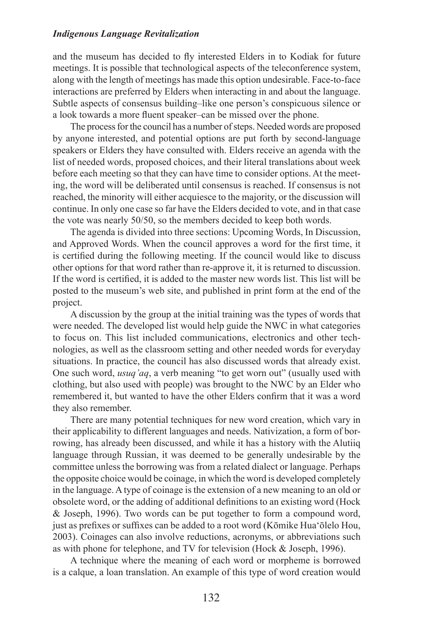and the museum has decided to fy interested Elders in to Kodiak for future meetings. It is possible that technological aspects of the teleconference system, along with the length of meetings has made this option undesirable. Face-to-face interactions are preferred by Elders when interacting in and about the language. Subtle aspects of consensus building–like one person's conspicuous silence or a look towards a more fuent speaker–can be missed over the phone.

The process for the council has a number of steps. Needed words are proposed by anyone interested, and potential options are put forth by second-language speakers or Elders they have consulted with. Elders receive an agenda with the list of needed words, proposed choices, and their literal translations about week before each meeting so that they can have time to consider options. At the meeting, the word will be deliberated until consensus is reached. If consensus is not reached, the minority will either acquiesce to the majority, or the discussion will continue. In only one case so far have the Elders decided to vote, and in that case the vote was nearly 50/50, so the members decided to keep both words.

 The agenda is divided into three sections: Upcoming Words, In Discussion, and Approved Words. When the council approves a word for the frst time, it is certifed during the following meeting. If the council would like to discuss other options for that word rather than re-approve it, it is returned to discussion. If the word is certifed, it is added to the master new words list. This list will be posted to the museum's web site, and published in print form at the end of the project.

A discussion by the group at the initial training was the types of words that were needed. The developed list would help guide the NWC in what categories to focus on. This list included communications, electronics and other technologies, as well as the classroom setting and other needed words for everyday situations. In practice, the council has also discussed words that already exist. One such word, *usuq'aq*, a verb meaning "to get worn out" (usually used with clothing, but also used with people) was brought to the NWC by an Elder who remembered it, but wanted to have the other Elders confrm that it was a word they also remember.

There are many potential techniques for new word creation, which vary in their applicability to different languages and needs. Nativization, a form of borrowing, has already been discussed, and while it has a history with the Alutiiq language through Russian, it was deemed to be generally undesirable by the committee unless the borrowing was from a related dialect or language. Perhaps the opposite choice would be coinage, in which the word is developed completely in the language. A type of coinage is the extension of a new meaning to an old or obsolete word, or the adding of additional defnitions to an existing word (Hock & Joseph, 1996). Two words can be put together to form a compound word, just as prefxes or suffxes can be added to a root word (Kōmike Hua'ōlelo Hou, 2003). Coinages can also involve reductions, acronyms, or abbreviations such as with phone for telephone, and TV for television (Hock & Joseph, 1996).

A technique where the meaning of each word or morpheme is borrowed is a calque, a loan translation. An example of this type of word creation would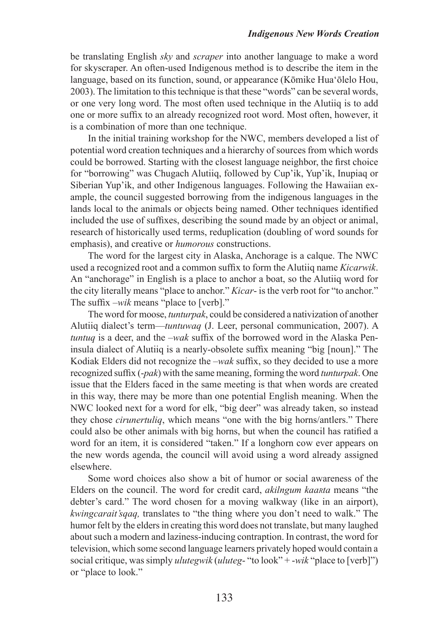#### *Indigenous New Words Creation*

be translating English *sky* and *scraper* into another language to make a word for skyscraper. An often-used Indigenous method is to describe the item in the language, based on its function, sound, or appearance (Kōmike Hua'ōlelo Hou, 2003). The limitation to this technique is that these "words" can be several words, or one very long word. The most often used technique in the Alutiiq is to add one or more suffx to an already recognized root word. Most often, however, it is a combination of more than one technique.

In the initial training workshop for the NWC, members developed a list of potential word creation techniques and a hierarchy of sources from which words could be borrowed. Starting with the closest language neighbor, the frst choice for "borrowing" was Chugach Alutiiq, followed by Cup'ik, Yup'ik, Inupiaq or Siberian Yup'ik, and other Indigenous languages. Following the Hawaiian example, the council suggested borrowing from the indigenous languages in the lands local to the animals or objects being named. Other techniques identifed included the use of suffxes, describing the sound made by an object or animal, research of historically used terms, reduplication (doubling of word sounds for emphasis), and creative or *humorous* constructions.

The word for the largest city in Alaska, Anchorage is a calque. The NWC used a recognized root and a common suffx to form the Alutiiq name *Kicarwik*. An "anchorage" in English is a place to anchor a boat, so the Alutiiq word for the city literally means "place to anchor." *Kicar*- is the verb root for "to anchor." The suffx –*wik* means "place to [verb]."

The word for moose, *tunturpak*, could be considered a nativization of another Alutiiq dialect's term—*tuntuwaq* (J. Leer, personal communication, 2007). A *tuntuq* is a deer, and the *–wak* suffx of the borrowed word in the Alaska Peninsula dialect of Alutiiq is a nearly-obsolete suffx meaning "big [noun]." The Kodiak Elders did not recognize the –*wak* suffx, so they decided to use a more recognized suffx (-*pak*) with the same meaning, forming the word *tunturpak*. One issue that the Elders faced in the same meeting is that when words are created in this way, there may be more than one potential English meaning. When the NWC looked next for a word for elk, "big deer" was already taken, so instead they chose *cirunertuliq*, which means "one with the big horns/antlers." There could also be other animals with big horns, but when the council has ratifed a word for an item, it is considered "taken." If a longhorn cow ever appears on the new words agenda, the council will avoid using a word already assigned elsewhere.

 Some word choices also show a bit of humor or social awareness of the Elders on the council. The word for credit card, *akilngum kaarta* means "the debter's card." The word chosen for a moving walkway (like in an airport), *kwingcarait'sqaq,* translates to "the thing where you don't need to walk." The humor felt by the elders in creating this word does not translate, but many laughed about such a modern and laziness-inducing contraption. In contrast, the word for television, which some second language learners privately hoped would contain a social critique, was simply *ulutegwik* (*uluteg*- "to look" + -*wik* "place to [verb]") or "place to look."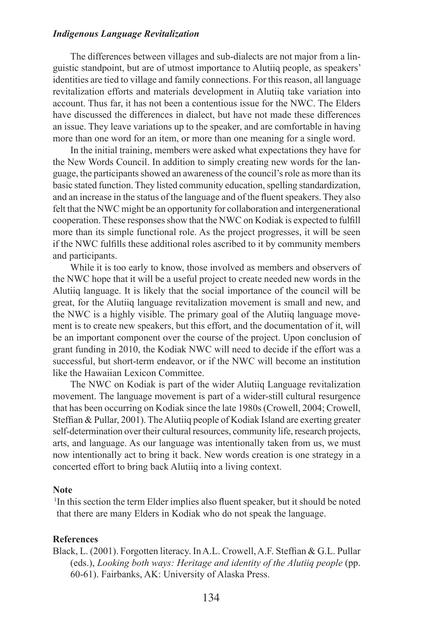The differences between villages and sub-dialects are not major from a linguistic standpoint, but are of utmost importance to Alutiiq people, as speakers' identities are tied to village and family connections. For this reason, all language revitalization efforts and materials development in Alutiiq take variation into account. Thus far, it has not been a contentious issue for the NWC. The Elders have discussed the differences in dialect, but have not made these differences an issue. They leave variations up to the speaker, and are comfortable in having more than one word for an item, or more than one meaning for a single word.

In the initial training, members were asked what expectations they have for the New Words Council. In addition to simply creating new words for the language, the participants showed an awareness of the council's role as more than its basic stated function. They listed community education, spelling standardization, and an increase in the status of the language and of the fluent speakers. They also felt that the NWC might be an opportunity for collaboration and intergenerational cooperation. These responses show that the NWC on Kodiak is expected to fulfill more than its simple functional role. As the project progresses, it will be seen if the NWC fulflls these additional roles ascribed to it by community members and participants.

While it is too early to know, those involved as members and observers of the NWC hope that it will be a useful project to create needed new words in the Alutiiq language. It is likely that the social importance of the council will be great, for the Alutiiq language revitalization movement is small and new, and the NWC is a highly visible. The primary goal of the Alutiiq language movement is to create new speakers, but this effort, and the documentation of it, will be an important component over the course of the project. Upon conclusion of grant funding in 2010, the Kodiak NWC will need to decide if the effort was a successful, but short-term endeavor, or if the NWC will become an institution like the Hawaiian Lexicon Committee.

The NWC on Kodiak is part of the wider Alutiiq Language revitalization movement. The language movement is part of a wider-still cultural resurgence that has been occurring on Kodiak since the late 1980s (Crowell, 2004; Crowell, Steffian & Pullar, 2001). The Alutiiq people of Kodiak Island are exerting greater self-determination over their cultural resources, community life, research projects, arts, and language. As our language was intentionally taken from us, we must now intentionally act to bring it back. New words creation is one strategy in a concerted effort to bring back Alutiiq into a living context.

#### **Note**

1 In this section the term Elder implies also fuent speaker, but it should be noted that there are many Elders in Kodiak who do not speak the language.

## **References**

Black, L. (2001). Forgotten literacy. InA.L. Crowell,A.F. Steffan & G.L. Pullar (eds.), *Looking both ways: Heritage and identity of the Alutiiq people* (pp. 60-61). Fairbanks, AK: University of Alaska Press.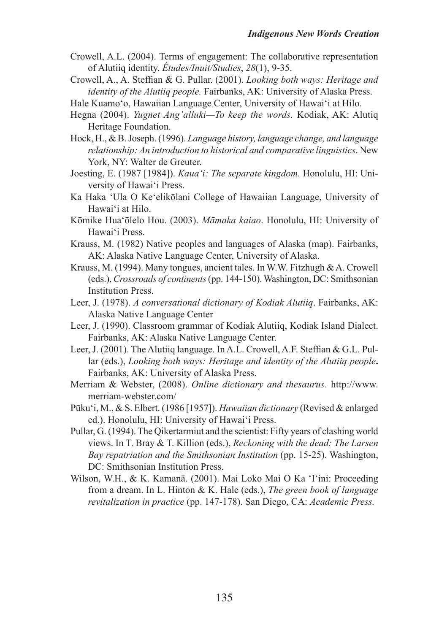- Crowell, A.L. (2004). Terms of engagement: The collaborative representation of Alutiiq identity. *Études/Inuit/Studies*, *28*(1), 9-35.
- Crowell, A., A. Steffan & G. Pullar. (2001). *Looking both ways: Heritage and identity of the Alutiiq people.* Fairbanks, AK: University of Alaska Press.
- Hale Kuamo'o, Hawaiian Language Center, University of Hawai'i at Hilo.
- Hegna (2004). *Yugnet Ang'alluki—To keep the words.* Kodiak, AK: Alutiq Heritage Foundation.
- Hock, H., & B.Joseph. (1996). *Language history, language change, and language relationship: An introduction to historical and comparative linguistics*. New York, NY: Walter de Greuter.
- Joesting, E. (1987 [1984]). *Kaua'i: The separate kingdom.* Honolulu, HI: University of Hawai'i Press.
- Ka Haka 'Ula O Ke'elikōlani College of Hawaiian Language, University of Hawai'i at Hilo.
- Kōmike Hua'ōlelo Hou. (2003). *Māmaka kaiao*. Honolulu, HI: University of Hawai'i Press.
- Krauss, M. (1982) Native peoples and languages of Alaska (map). Fairbanks, AK: Alaska Native Language Center, University of Alaska.
- Krauss, M. (1994). Many tongues, ancient tales. In W.W. Fitzhugh & A. Crowell (eds.),*Crossroads of continents*(pp. 144-150).Washington, DC: Smithsonian Institution Press.
- Leer, J. (1978). *A conversational dictionary of Kodiak Alutiiq*. Fairbanks, AK: Alaska Native Language Center
- Leer, J. (1990). Classroom grammar of Kodiak Alutiiq, Kodiak Island Dialect. Fairbanks, AK: Alaska Native Language Center.
- Leer, J. (2001). The Alutiiq language. In A.L. Crowell, A.F. Steffan & G.L. Pullar (eds.), *Looking both ways: Heritage and identity of the Alutiiq people***.**  Fairbanks, AK: University of Alaska Press.
- Merriam & Webster, (2008). *Online dictionary and thesaurus*. [http://www.](http://www.merriam-webster.com/) [merriam-webster.com/](http://www.merriam-webster.com/)
- Pūku'i, M., & S. Elbert. (1986 [1957]). *Hawaiian dictionary* (Revised & enlarged ed.). Honolulu, HI: University of Hawai'i Press.
- Pullar, G. (1994). The Qikertarmiut and the scientist: Fifty years of clashing world views. In T. Bray & T. Killion (eds.), *Reckoning with the dead: The Larsen Bay repatriation and the Smithsonian Institution* (pp. 15-25). Washington, DC: Smithsonian Institution Press.
- Wilson, W.H., & K. Kamanā. (2001). Mai Loko Mai O Ka 'I'ini: Proceeding from a dream. In L. Hinton & K. Hale (eds.), *The green book of language revitalization in practice* (pp. 147-178). San Diego, CA: *Academic Press.*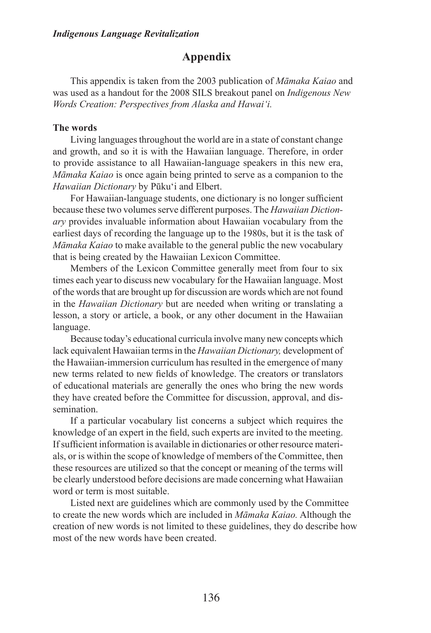## **Appendix**

 This appendix is taken from the 2003 publication of *Māmaka Kaiao* and was used as a handout for the 2008 SILS breakout panel on *Indigenous New Words Creation: Perspectives from Alaska and Hawai'i.*

## **The words**

Living languages throughout the world are in a state of constant change and growth, and so it is with the Hawaiian language. Therefore, in order to provide assistance to all Hawaiian-language speakers in this new era, *Māmaka Kaiao* is once again being printed to serve as a companion to the *Hawaiian Dictionary* by Pūku'i and Elbert.

For Hawaiian-language students, one dictionary is no longer sufficient because these two volumes serve different purposes. The *Hawaiian Dictionary* provides invaluable information about Hawaiian vocabulary from the earliest days of recording the language up to the 1980s, but it is the task of *Māmaka Kaiao* to make available to the general public the new vocabulary that is being created by the Hawaiian Lexicon Committee.

Members of the Lexicon Committee generally meet from four to six times each year to discuss new vocabulary for the Hawaiian language. Most of the words that are brought up for discussion are words which are not found in the *Hawaiian Dictionary* but are needed when writing or translating a lesson, a story or article, a book, or any other document in the Hawaiian language.

Because today's educational curricula involve many new concepts which lack equivalent Hawaiian terms in the *Hawaiian Dictionary,* development of the Hawaiian-immersion curriculum has resulted in the emergence of many new terms related to new felds of knowledge. The creators or translators of educational materials are generally the ones who bring the new words they have created before the Committee for discussion, approval, and dissemination.

 If a particular vocabulary list concerns a subject which requires the knowledge of an expert in the feld, such experts are invited to the meeting. If sufficient information is available in dictionaries or other resource materials, or is within the scope of knowledge of members of the Committee, then these resources are utilized so that the concept or meaning of the terms will be clearly understood before decisions are made concerning what Hawaiian word or term is most suitable.

Listed next are guidelines which are commonly used by the Committee to create the new words which are included in *Māmaka Kaiao.* Although the creation of new words is not limited to these guidelines, they do describe how most of the new words have been created.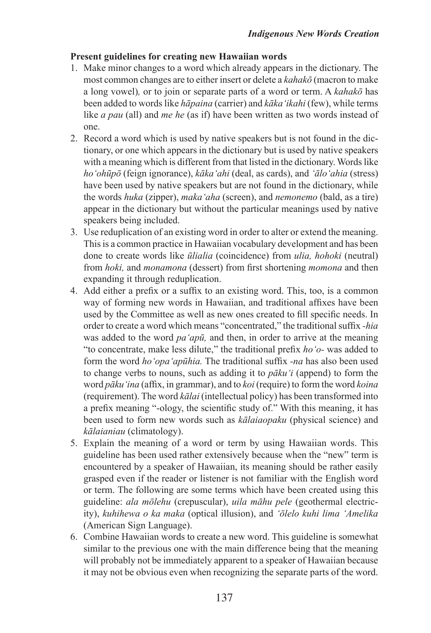## **Present guidelines for creating new Hawaiian words**

- 1. Make minor changes to a word which already appears in the dictionary. The most common changes are to either insert or delete a *kahakō* (macron to make a long vowel)*,* or to join or separate parts of a word or term. A *kahakō* has been added to words like *hāpaina* (carrier) and *kāka'ikahi* (few), while terms like *a pau* (all) and *me he* (as if) have been written as two words instead of one.
- 2. Record a word which is used by native speakers but is not found in the dictionary, or one which appears in the dictionary but is used by native speakers with a meaning which is different from that listed in the dictionary. Words like *ho'ohūpō* (feign ignorance), *kāka'ahi* (deal, as cards), and *'ālo'ahia* (stress) have been used by native speakers but are not found in the dictionary, while the words *huka* (zipper), *maka'aha* (screen), and *nemonemo* (bald, as a tire) appear in the dictionary but without the particular meanings used by native speakers being included.
- 3. Use reduplication of an existing word in order to alter or extend the meaning. This is a common practice in Hawaiian vocabulary development and has been done to create words like *ūlialia* (coincidence) from *ulia, hohoki* (neutral) from *hoki,* and *monamona* (dessert) from frst shortening *momona* and then expanding it through reduplication.
- 4. Add either a prefx or a suffx to an existing word. This, too, is a common way of forming new words in Hawaiian, and traditional affxes have been used by the Committee as well as new ones created to fll specifc needs. In order to create a word which means "concentrated," the traditional suffix -hia was added to the word *pa'apū,* and then, in order to arrive at the meaning "to concentrate, make less dilute," the traditional prefx *ho'o-* was added to form the word *ho'opa'apūhia.* The traditional suffx *-na* has also been used to change verbs to nouns, such as adding it to *pāku'i* (append) to form the word *pāku'ina* (affx, in grammar), and to *koi* (require) to form the word *koina*  (requirement). The word *kālai* (intellectual policy) has been transformed into a prefx meaning "-ology, the scientifc study of." With this meaning, it has been used to form new words such as *kālaiaopaku* (physical science) and *kālaianiau* (climatology).
- 5. Explain the meaning of a word or term by using Hawaiian words. This guideline has been used rather extensively because when the "new" term is encountered by a speaker of Hawaiian, its meaning should be rather easily grasped even if the reader or listener is not familiar with the English word or term. The following are some terms which have been created using this guideline: *ala mōlehu* (crepuscular), *uila māhu pele* (geothermal electricity), *kuhihewa o ka maka* (optical illusion), and *'ōlelo kuhi lima 'Amelika*  (American Sign Language).
- 6. Combine Hawaiian words to create a new word. This guideline is somewhat similar to the previous one with the main difference being that the meaning will probably not be immediately apparent to a speaker of Hawaiian because it may not be obvious even when recognizing the separate parts of the word.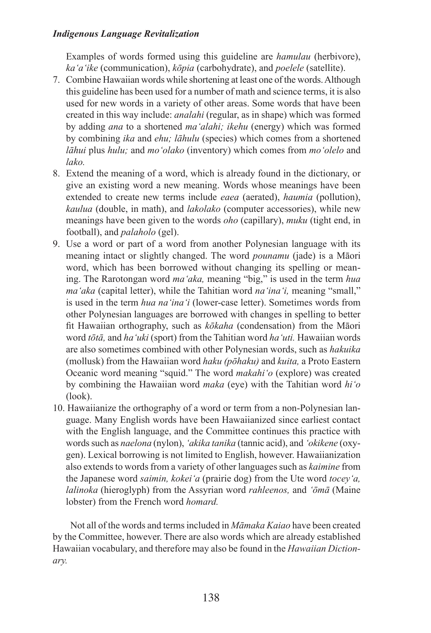Examples of words formed using this guideline are *hamulau* (herbivore), *ka'a'ike* (communication), *kōpia* (carbohydrate), and *poelele* (satellite).

- 7. Combine Hawaiian words while shortening at least one of the words. Although this guideline has been used for a number of math and science terms, it is also used for new words in a variety of other areas. Some words that have been created in this way include: *analahi* (regular, as in shape) which was formed by adding *ana* to a shortened *ma'alahi; ikehu* (energy) which was formed by combining *ika* and *ehu; lāhulu* (species) which comes from a shortened *lāhui* plus *hulu;* and *mo'olako* (inventory) which comes from *mo'olelo* and *lako.*
- 8. Extend the meaning of a word, which is already found in the dictionary, or give an existing word a new meaning. Words whose meanings have been extended to create new terms include *eaea* (aerated), *haumia* (pollution), *kaulua* (double, in math), and *lakolako* (computer accessories), while new meanings have been given to the words *oho* (capillary), *muku* (tight end, in football), and *palaholo* (gel).
- 9. Use a word or part of a word from another Polynesian language with its meaning intact or slightly changed. The word *pounamu* (jade) is a Māori word, which has been borrowed without changing its spelling or meaning. The Rarotongan word *ma'aka,* meaning "big," is used in the term *hua ma'aka* (capital letter), while the Tahitian word *na'ina'i,* meaning "small," is used in the term *hua na'ina'i* (lower-case letter). Sometimes words from other Polynesian languages are borrowed with changes in spelling to better ft Hawaiian orthography, such as *kōkaha* (condensation) from the Māori word *tōtā,* and *ha'uki* (sport) from the Tahitian word *ha'uti.* Hawaiian words are also sometimes combined with other Polynesian words, such as *hakuika*  (mollusk) from the Hawaiian word *haku (pōhaku)* and *kuita,* a Proto Eastern Oceanic word meaning "squid." The word *makahi'o* (explore) was created by combining the Hawaiian word *maka* (eye) with the Tahitian word *hi'o* (look).
- 10. Hawaiianize the orthography of a word or term from a non-Polynesian language. Many English words have been Hawaiianized since earliest contact with the English language, and the Committee continues this practice with words such as *naelona* (nylon), *'akika tanika* (tannic acid), and *'okikene* (oxygen). Lexical borrowing is not limited to English, however. Hawaiianization also extends to words from a variety of other languages such as *kaimine* from the Japanese word *saimin, kokei'a* (prairie dog) from the Ute word *tocey'a, lalinoka* (hieroglyph) from the Assyrian word *rahleenos,* and *'ōmā* (Maine lobster) from the French word *homard.*

Not all of the words and terms included in *Māmaka Kaiao* have been created by the Committee, however. There are also words which are already established Hawaiian vocabulary, and therefore may also be found in the *Hawaiian Dictionary.*